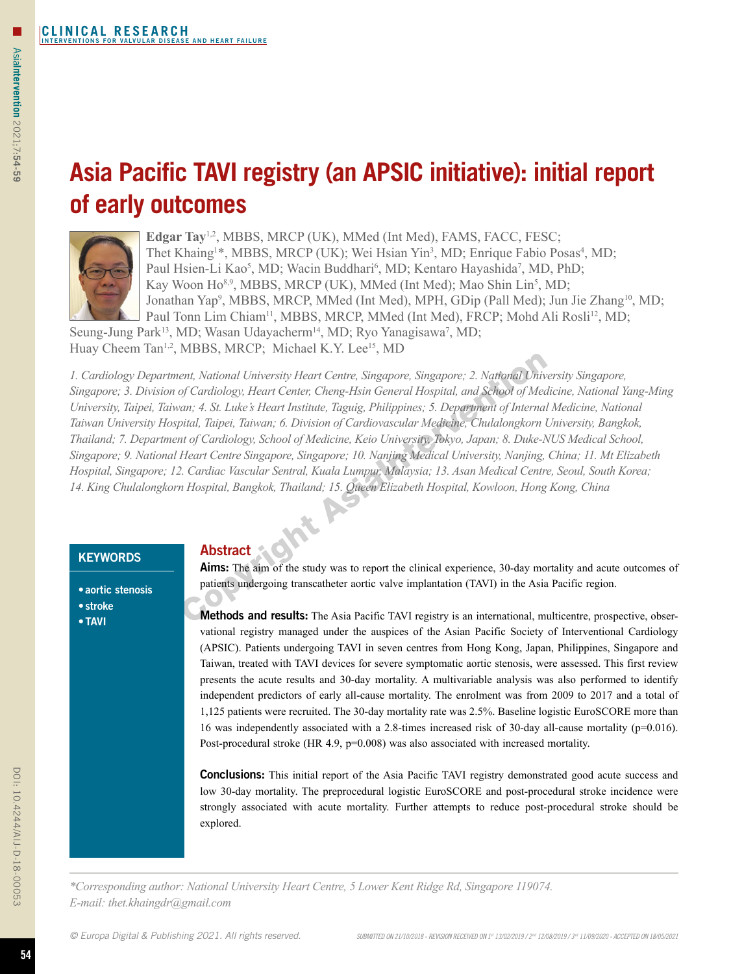□

# **Asia Pacific TAVI registry (an APSIC initiative): initial report of early outcomes**



Edgar Tay<sup>1,2</sup>, MBBS, MRCP (UK), MMed (Int Med), FAMS, FACC, FESC; Thet Khaing<sup>1\*</sup>, MBBS, MRCP (UK); Wei Hsian Yin<sup>3</sup>, MD; Enrique Fabio Posas<sup>4</sup>, MD; Paul Hsien-Li Kao<sup>5</sup>, MD; Wacin Buddhari<sup>6</sup>, MD; Kentaro Hayashida<sup>7</sup>, MD, PhD; Kay Woon Ho<sup>8,9</sup>, MBBS, MRCP (UK), MMed (Int Med); Mao Shin Lin<sup>5</sup>, MD; Jonathan Yap<sup>9</sup>, MBBS, MRCP, MMed (Int Med), MPH, GDip (Pall Med); Jun Jie Zhang<sup>10</sup>, MD; Paul Tonn Lim Chiam<sup>11</sup>, MBBS, MRCP, MMed (Int Med), FRCP; Mohd Ali Rosli<sup>12</sup>, MD;

Seung-Jung Park<sup>13</sup>, MD; Wasan Udayacherm<sup>14</sup>, MD; Ryo Yanagisawa<sup>7</sup>, MD;

Huay Cheem Tan<sup>1,2</sup>, MBBS, MRCP; Michael K.Y. Lee<sup>15</sup>, MD

*1. Cardiology Department, National University Heart Centre, Singapore, Singapore; 2. National University Singapore, Singapore; 3. Division of Cardiology, Heart Center, Cheng-Hsin General Hospital, and School of Medicine, National Yang-Ming University, Taipei, Taiwan; 4. St. Luke's Heart Institute, Taguig, Philippines; 5. Department of Internal Medicine, National Taiwan University Hospital, Taipei, Taiwan; 6. Division of Cardiovascular Medicine, Chulalongkorn University, Bangkok, Thailand; 7. Department of Cardiology, School of Medicine, Keio University, Tokyo, Japan; 8. Duke-NUS Medical School, Singapore; 9. National Heart Centre Singapore, Singapore; 10. Nanjing Medical University, Nanjing, China; 11. Mt Elizabeth Hospital, Singapore; 12. Cardiac Vascular Sentral, Kuala Lumpur, Malaysia; 13. Asan Medical Centre, Seoul, South Korea; 14. King Chulalongkorn Hospital, Bangkok, Thailand; 15. Queen Elizabeth Hospital, Kowloon, Hong Kong, China*

# **KEYWORDS**

# Abstract

• aortic stenosis • stroke

•TAVI

Aims: The aim of the study was to report the clinical experience, 30-day mortality and acute outcomes of patients undergoing transcatheter aortic valve implantation (TAVI) in the Asia Pacific region.

Methods and results: The Asia Pacific TAVI registry is an international, multicentre, prospective, observational registry managed under the auspices of the Asian Pacific Society of Interventional Cardiology (APSIC). Patients undergoing TAVI in seven centres from Hong Kong, Japan, Philippines, Singapore and Taiwan, treated with TAVI devices for severe symptomatic aortic stenosis, were assessed. This first review presents the acute results and 30-day mortality. A multivariable analysis was also performed to identify independent predictors of early all-cause mortality. The enrolment was from 2009 to 2017 and a total of 1,125 patients were recruited. The 30-day mortality rate was 2.5%. Baseline logistic EuroSCORE more than 16 was independently associated with a 2.8-times increased risk of 30-day all-cause mortality (p=0.016). Post-procedural stroke (HR 4.9, p=0.008) was also associated with increased mortality.

**Conclusions:** This initial report of the Asia Pacific TAVI registry demonstrated good acute success and low 30-day mortality. The preprocedural logistic EuroSCORE and post-procedural stroke incidence were strongly associated with acute mortality. Further attempts to reduce post-procedural stroke should be explored.

*\*Corresponding author: National University Heart Centre, 5 Lower Kent Ridge Rd, Singapore 119074. E-mail: thet.khaingdr@gmail.com*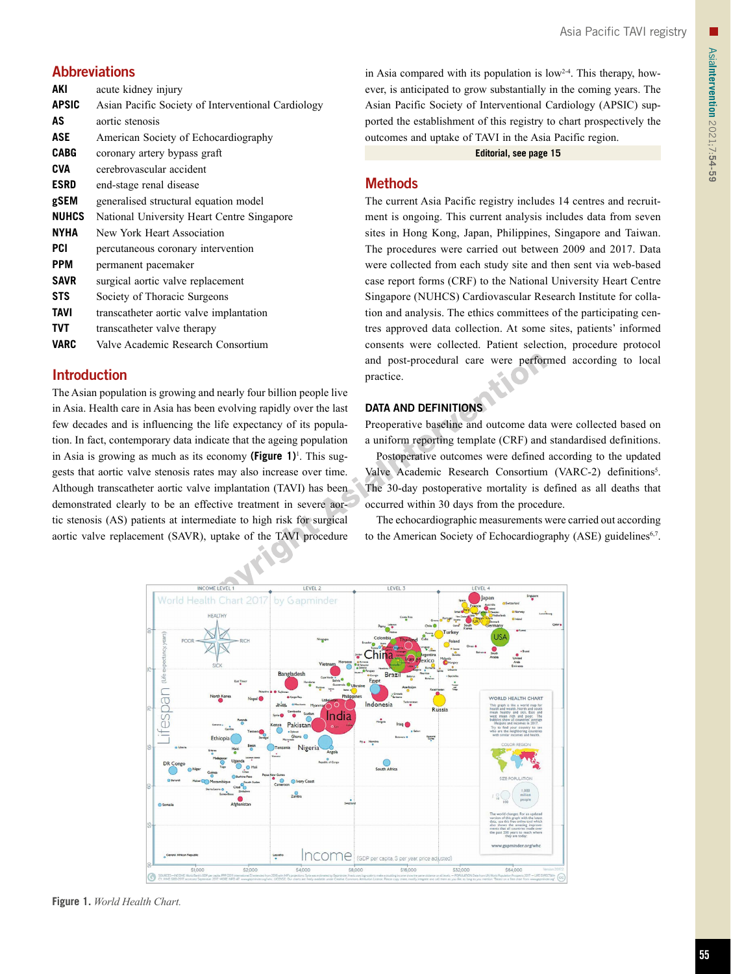# **Abbreviations**

| AKI          | acute kidney injury                                |
|--------------|----------------------------------------------------|
| <b>APSIC</b> | Asian Pacific Society of Interventional Cardiology |
| AS           | aortic stenosis                                    |
| ASE          | American Society of Echocardiography               |
| <b>CABG</b>  | coronary artery bypass graft                       |
| <b>CVA</b>   | cerebrovascular accident                           |
| <b>ESRD</b>  | end-stage renal disease                            |
| gSEM         | generalised structural equation model              |
| <b>NUHCS</b> | National University Heart Centre Singapore         |
| <b>NYHA</b>  | New York Heart Association                         |
| PCI          | percutaneous coronary intervention                 |
| <b>PPM</b>   | permanent pacemaker                                |
| <b>SAVR</b>  | surgical aortic valve replacement                  |
| <b>STS</b>   | Society of Thoracic Surgeons                       |
| <b>TAVI</b>  | transcatheter aortic valve implantation            |
| <b>TVT</b>   | transcatheter valve therapy                        |
| <b>VARC</b>  | Valve Academic Research Consortium                 |

# Introduction

The Asian population is growing and nearly four billion people live in Asia. Health care in Asia has been evolving rapidly over the last few decades and is influencing the life expectancy of its population. In fact, contemporary data indicate that the ageing population in Asia is growing as much as its economy **(Figure 1)**<sup>1</sup> . This suggests that aortic valve stenosis rates may also increase over time. Although transcatheter aortic valve implantation (TAVI) has been demonstrated clearly to be an effective treatment in severe aortic stenosis (AS) patients at intermediate to high risk for surgical aortic valve replacement (SAVR), uptake of the TAVI procedure in Asia compared with its population is  $low<sup>2-4</sup>$ . This therapy, however, is anticipated to grow substantially in the coming years. The Asian Pacific Society of Interventional Cardiology (APSIC) supported the establishment of this registry to chart prospectively the outcomes and uptake of TAVI in the Asia Pacific region.

**Editorial, see page 15**

# **Methods**

The current Asia Pacific registry includes 14 centres and recruitment is ongoing. This current analysis includes data from seven sites in Hong Kong, Japan, Philippines, Singapore and Taiwan. The procedures were carried out between 2009 and 2017. Data were collected from each study site and then sent via web-based case report forms (CRF) to the National University Heart Centre Singapore (NUHCS) Cardiovascular Research Institute for collation and analysis. The ethics committees of the participating centres approved data collection. At some sites, patients' informed consents were collected. Patient selection, procedure protocol and post-procedural care were performed according to local practice.

# DATA AND DEFINITIONS

Preoperative baseline and outcome data were collected based on a uniform reporting template (CRF) and standardised definitions.

Postoperative outcomes were defined according to the updated Valve Academic Research Consortium (VARC-2) definitions<sup>5</sup>. The 30-day postoperative mortality is defined as all deaths that occurred within 30 days from the procedure.

The echocardiographic measurements were carried out according to the American Society of Echocardiography (ASE) guidelines<sup>6,7</sup>.



**Figure 1.** *World Health Chart.*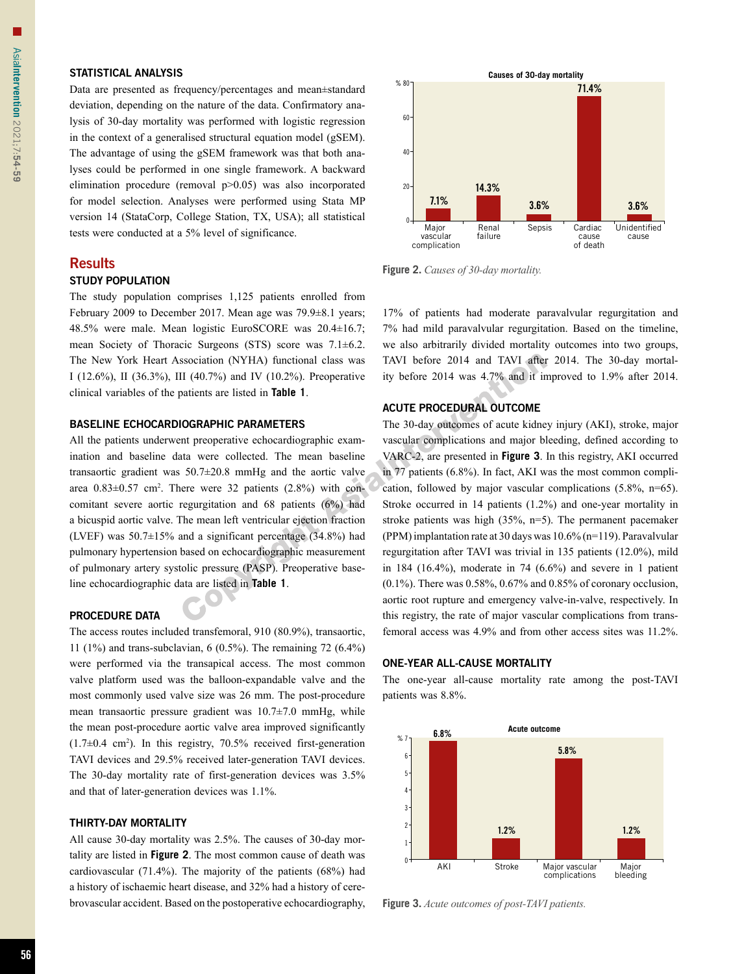#### STATISTICAL ANALYSIS

Data are presented as frequency/percentages and mean±standard deviation, depending on the nature of the data. Confirmatory analysis of 30-day mortality was performed with logistic regression in the context of a generalised structural equation model (gSEM). The advantage of using the gSEM framework was that both analyses could be performed in one single framework. A backward elimination procedure (removal p>0.05) was also incorporated for model selection. Analyses were performed using Stata MP version 14 (StataCorp, College Station, TX, USA); all statistical tests were conducted at a 5% level of significance.

# **Results**

#### STUDY POPULATION

The study population comprises 1,125 patients enrolled from February 2009 to December 2017. Mean age was 79.9±8.1 years; 48.5% were male. Mean logistic EuroSCORE was 20.4±16.7; mean Society of Thoracic Surgeons (STS) score was 7.1±6.2. The New York Heart Association (NYHA) functional class was I (12.6%), II (36.3%), III (40.7%) and IV (10.2%). Preoperative clinical variables of the patients are listed in **Table 1**.

#### BASELINE ECHOCARDIOGRAPHIC PARAMETERS

All the patients underwent preoperative echocardiographic examination and baseline data were collected. The mean baseline transaortic gradient was 50.7±20.8 mmHg and the aortic valve area  $0.83 \pm 0.57$  cm<sup>2</sup>. There were 32 patients  $(2.8\%)$  with concomitant severe aortic regurgitation and 68 patients (6%) had a bicuspid aortic valve. The mean left ventricular ejection fraction (LVEF) was  $50.7\pm15\%$  and a significant percentage (34.8%) had pulmonary hypertension based on echocardiographic measurement of pulmonary artery systolic pressure (PASP). Preoperative baseline echocardiographic data are listed in **Table 1**.

#### PROCEDURE DATA

The access routes included transfemoral, 910 (80.9%), transaortic, 11 (1%) and trans-subclavian, 6 (0.5%). The remaining 72 (6.4%) were performed via the transapical access. The most common valve platform used was the balloon-expandable valve and the most commonly used valve size was 26 mm. The post-procedure mean transaortic pressure gradient was 10.7±7.0 mmHg, while the mean post-procedure aortic valve area improved significantly  $(1.7\pm0.4 \text{ cm}^2)$ . In this registry, 70.5% received first-generation TAVI devices and 29.5% received later-generation TAVI devices. The 30-day mortality rate of first-generation devices was 3.5% and that of later-generation devices was 1.1%.

#### THIRTY-DAY MORTALITY

All cause 30-day mortality was 2.5%. The causes of 30-day mortality are listed in **Figure 2**. The most common cause of death was cardiovascular (71.4%). The majority of the patients (68%) had a history of ischaemic heart disease, and 32% had a history of cerebrovascular accident. Based on the postoperative echocardiography,



**Figure 2.** *Causes of 30-day mortality.*

17% of patients had moderate paravalvular regurgitation and 7% had mild paravalvular regurgitation. Based on the timeline, we also arbitrarily divided mortality outcomes into two groups, TAVI before 2014 and TAVI after 2014. The 30-day mortality before 2014 was 4.7% and it improved to 1.9% after 2014.

#### ACUTE PROCEDURAL OUTCOME

The 30-day outcomes of acute kidney injury (AKI), stroke, major vascular complications and major bleeding, defined according to VARC-2, are presented in **Figure 3**. In this registry, AKI occurred in 77 patients (6.8%). In fact, AKI was the most common complication, followed by major vascular complications (5.8%, n=65). Stroke occurred in 14 patients (1.2%) and one-year mortality in stroke patients was high (35%, n=5). The permanent pacemaker (PPM) implantation rate at 30 days was 10.6% (n=119). Paravalvular regurgitation after TAVI was trivial in 135 patients (12.0%), mild in  $184$   $(16.4\%)$ , moderate in  $74$   $(6.6\%)$  and severe in 1 patient  $(0.1\%)$ . There was 0.58%, 0.67% and 0.85% of coronary occlusion, aortic root rupture and emergency valve-in-valve, respectively. In this registry, the rate of major vascular complications from transfemoral access was 4.9% and from other access sites was 11.2%.

#### ONE-YEAR ALL-CAUSE MORTALITY

The one-year all-cause mortality rate among the post-TAVI patients was 8.8%.



**Figure 3.** *Acute outcomes of post-TAVI patients.*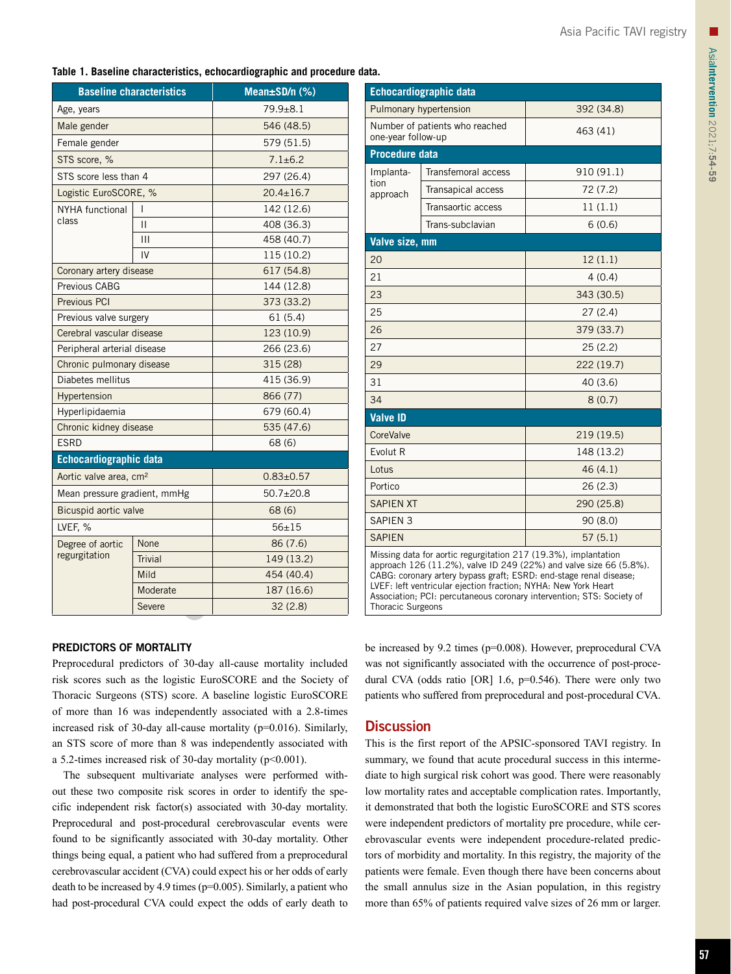#### **Table 1. Baseline characteristics, echocardiographic and procedure data.**

|                                    | <b>Baseline characteristics</b> | Mean $\pm$ SD/n $(\%)$ |
|------------------------------------|---------------------------------|------------------------|
| Age, years                         |                                 | $79.9 + 8.1$           |
| Male gender                        |                                 | 546 (48.5)             |
| Female gender                      |                                 | 579 (51.5)             |
| STS score, %                       |                                 | $7.1 \pm 6.2$          |
| STS score less than 4              |                                 | 297 (26.4)             |
| Logistic EuroSCORE, %              |                                 | $20.4 \pm 16.7$        |
| <b>NYHA</b> functional             | I                               | 142 (12.6)             |
| class                              | П                               | 408 (36.3)             |
|                                    | Ш                               | 458 (40.7)             |
|                                    | IV                              | 115 (10.2)             |
| Coronary artery disease            |                                 | 617 (54.8)             |
| Previous CABG                      |                                 | 144 (12.8)             |
| <b>Previous PCI</b>                |                                 | 373 (33.2)             |
| Previous valve surgery             |                                 | 61(5.4)                |
| Cerebral vascular disease          |                                 | 123 (10.9)             |
| Peripheral arterial disease        |                                 | 266 (23.6)             |
| Chronic pulmonary disease          |                                 | 315 (28)               |
| Diabetes mellitus                  |                                 | 415 (36.9)             |
| Hypertension                       |                                 | 866 (77)               |
| Hyperlipidaemia                    |                                 | 679 (60.4)             |
| Chronic kidney disease             |                                 | 535 (47.6)             |
| <b>ESRD</b>                        |                                 | 68 (6)                 |
| <b>Echocardiographic data</b>      |                                 |                        |
| Aortic valve area, cm <sup>2</sup> |                                 | $0.83 \pm 0.57$        |
| Mean pressure gradient, mmHg       |                                 | $50.7 \pm 20.8$        |
| Bicuspid aortic valve              |                                 | 68 (6)                 |
| LVEF, %                            |                                 | $56 + 15$              |
| Degree of aortic                   | None                            | 86 (7.6)               |
| regurgitation                      | <b>Trivial</b>                  | 149 (13.2)             |
|                                    | Mild                            | 454 (40.4)             |
|                                    | Moderate                        | 187 (16.6)             |
|                                    | Severe                          | 32(2.8)                |

| <b>Echocardiographic data</b>                                                                                                                                                                                                                                                                                                                                                      |                                |            |  |  |  |
|------------------------------------------------------------------------------------------------------------------------------------------------------------------------------------------------------------------------------------------------------------------------------------------------------------------------------------------------------------------------------------|--------------------------------|------------|--|--|--|
| Pulmonary hypertension                                                                                                                                                                                                                                                                                                                                                             |                                | 392 (34.8) |  |  |  |
| one-year follow-up                                                                                                                                                                                                                                                                                                                                                                 | Number of patients who reached | 463 (41)   |  |  |  |
| <b>Procedure data</b>                                                                                                                                                                                                                                                                                                                                                              |                                |            |  |  |  |
| Implanta-<br>tion<br>approach                                                                                                                                                                                                                                                                                                                                                      | Transfemoral access            | 910 (91.1) |  |  |  |
|                                                                                                                                                                                                                                                                                                                                                                                    | Transapical access             | 72 (7.2)   |  |  |  |
|                                                                                                                                                                                                                                                                                                                                                                                    | Transaortic access             | 11(1.1)    |  |  |  |
|                                                                                                                                                                                                                                                                                                                                                                                    | Trans-subclavian               | 6(0.6)     |  |  |  |
| Valve size, mm                                                                                                                                                                                                                                                                                                                                                                     |                                |            |  |  |  |
| 20                                                                                                                                                                                                                                                                                                                                                                                 |                                | 12(1.1)    |  |  |  |
| 21                                                                                                                                                                                                                                                                                                                                                                                 |                                | 4(0.4)     |  |  |  |
| 23                                                                                                                                                                                                                                                                                                                                                                                 |                                | 343 (30.5) |  |  |  |
| 25                                                                                                                                                                                                                                                                                                                                                                                 |                                | 27 (2.4)   |  |  |  |
| 26                                                                                                                                                                                                                                                                                                                                                                                 |                                | 379 (33.7) |  |  |  |
| 27                                                                                                                                                                                                                                                                                                                                                                                 |                                | 25 (2.2)   |  |  |  |
| 29                                                                                                                                                                                                                                                                                                                                                                                 |                                | 222 (19.7) |  |  |  |
| 31                                                                                                                                                                                                                                                                                                                                                                                 |                                | 40 (3.6)   |  |  |  |
| 34                                                                                                                                                                                                                                                                                                                                                                                 |                                | 8(0.7)     |  |  |  |
| <b>Valve ID</b>                                                                                                                                                                                                                                                                                                                                                                    |                                |            |  |  |  |
| CoreValve                                                                                                                                                                                                                                                                                                                                                                          |                                | 219 (19.5) |  |  |  |
| Evolut R                                                                                                                                                                                                                                                                                                                                                                           |                                | 148 (13.2) |  |  |  |
| Lotus                                                                                                                                                                                                                                                                                                                                                                              |                                | 46 (4.1)   |  |  |  |
| Portico                                                                                                                                                                                                                                                                                                                                                                            |                                | 26(2.3)    |  |  |  |
| <b>SAPIEN XT</b>                                                                                                                                                                                                                                                                                                                                                                   |                                | 290 (25.8) |  |  |  |
| <b>SAPIEN 3</b>                                                                                                                                                                                                                                                                                                                                                                    |                                | 90 (8.0)   |  |  |  |
| <b>SAPIEN</b>                                                                                                                                                                                                                                                                                                                                                                      |                                | 57(5.1)    |  |  |  |
| Missing data for aortic regurgitation 217 (19.3%), implantation<br>approach 126 (11.2%), valve ID 249 (22%) and valve size 66 (5.8%).<br>CABG: coronary artery bypass graft; ESRD: end-stage renal disease;<br>LVEF: left ventricular ejection fraction; NYHA: New York Heart<br>Association; PCI: percutaneous coronary intervention; STS: Society of<br><b>Thoracic Surgeons</b> |                                |            |  |  |  |

#### PREDICTORS OF MORTALITY

Preprocedural predictors of 30-day all-cause mortality included risk scores such as the logistic EuroSCORE and the Society of Thoracic Surgeons (STS) score. A baseline logistic EuroSCORE of more than 16 was independently associated with a 2.8-times increased risk of 30-day all-cause mortality (p=0.016). Similarly, an STS score of more than 8 was independently associated with a 5.2-times increased risk of 30-day mortality ( $p<0.001$ ).

The subsequent multivariate analyses were performed without these two composite risk scores in order to identify the specific independent risk factor(s) associated with 30-day mortality. Preprocedural and post-procedural cerebrovascular events were found to be significantly associated with 30-day mortality. Other things being equal, a patient who had suffered from a preprocedural cerebrovascular accident (CVA) could expect his or her odds of early death to be increased by 4.9 times (p=0.005). Similarly, a patient who had post-procedural CVA could expect the odds of early death to be increased by 9.2 times (p=0.008). However, preprocedural CVA was not significantly associated with the occurrence of post-procedural CVA (odds ratio [OR] 1.6, p=0.546). There were only two patients who suffered from preprocedural and post-procedural CVA.

# **Discussion**

This is the first report of the APSIC-sponsored TAVI registry. In summary, we found that acute procedural success in this intermediate to high surgical risk cohort was good. There were reasonably low mortality rates and acceptable complication rates. Importantly, it demonstrated that both the logistic EuroSCORE and STS scores were independent predictors of mortality pre procedure, while cerebrovascular events were independent procedure-related predictors of morbidity and mortality. In this registry, the majority of the patients were female. Even though there have been concerns about the small annulus size in the Asian population, in this registry more than 65% of patients required valve sizes of 26 mm or larger.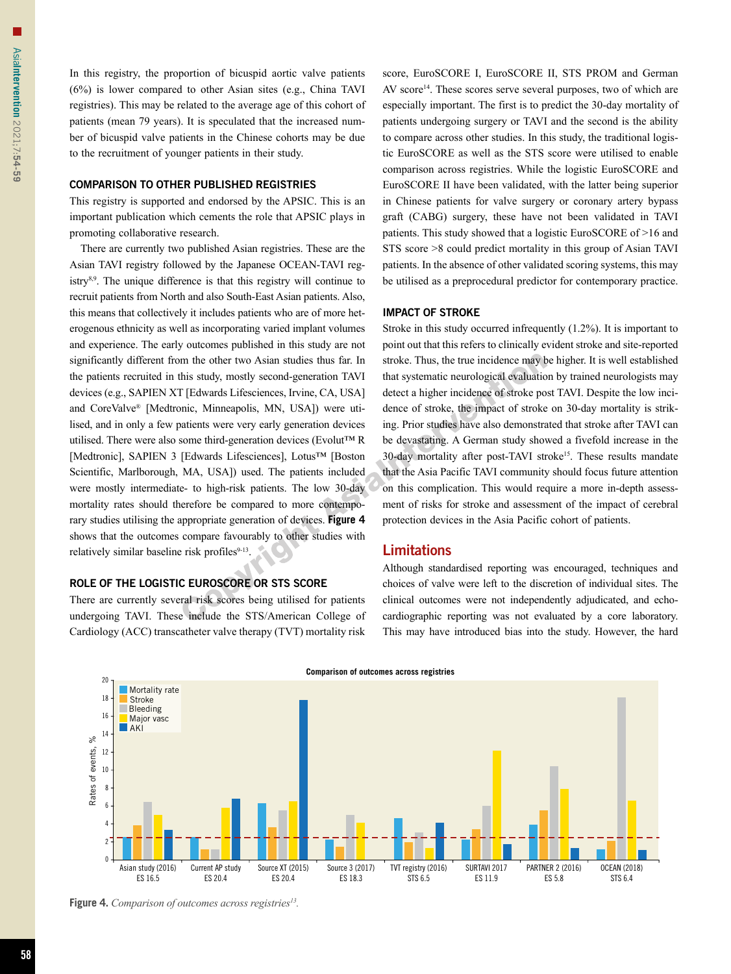In this registry, the proportion of bicuspid aortic valve patients (6%) is lower compared to other Asian sites (e.g., China TAVI registries). This may be related to the average age of this cohort of patients (mean 79 years). It is speculated that the increased number of bicuspid valve patients in the Chinese cohorts may be due to the recruitment of younger patients in their study.

#### COMPARISON TO OTHER PUBLISHED REGISTRIES

This registry is supported and endorsed by the APSIC. This is an important publication which cements the role that APSIC plays in promoting collaborative research.

There are currently two published Asian registries. These are the Asian TAVI registry followed by the Japanese OCEAN-TAVI registry8,9. The unique difference is that this registry will continue to recruit patients from North and also South-East Asian patients. Also, this means that collectively it includes patients who are of more heterogenous ethnicity as well as incorporating varied implant volumes and experience. The early outcomes published in this study are not significantly different from the other two Asian studies thus far. In the patients recruited in this study, mostly second-generation TAVI devices (e.g., SAPIEN XT [Edwards Lifesciences, Irvine, CA, USA] and CoreValve® [Medtronic, Minneapolis, MN, USA]) were utilised, and in only a few patients were very early generation devices utilised. There were also some third-generation devices (Evolut™ R [Medtronic], SAPIEN 3 [Edwards Lifesciences], Lotus™ [Boston Scientific, Marlborough, MA, USA]) used. The patients included were mostly intermediate- to high-risk patients. The low 30-day mortality rates should therefore be compared to more contemporary studies utilising the appropriate generation of devices. **Figure 4** shows that the outcomes compare favourably to other studies with relatively similar baseline risk profiles<sup>9-13</sup>.

#### ROLE OF THE LOGISTIC EUROSCORE OR STS SCORE

There are currently several risk scores being utilised for patients undergoing TAVI. These include the STS/American College of Cardiology (ACC) transcatheter valve therapy (TVT) mortality risk score, EuroSCORE I, EuroSCORE II, STS PROM and German AV score<sup>14</sup>. These scores serve several purposes, two of which are especially important. The first is to predict the 30-day mortality of patients undergoing surgery or TAVI and the second is the ability to compare across other studies. In this study, the traditional logistic EuroSCORE as well as the STS score were utilised to enable comparison across registries. While the logistic EuroSCORE and EuroSCORE II have been validated, with the latter being superior in Chinese patients for valve surgery or coronary artery bypass graft (CABG) surgery, these have not been validated in TAVI patients. This study showed that a logistic EuroSCORE of >16 and STS score >8 could predict mortality in this group of Asian TAVI patients. In the absence of other validated scoring systems, this may be utilised as a preprocedural predictor for contemporary practice.

#### IMPACT OF STROKE

Stroke in this study occurred infrequently (1.2%). It is important to point out that this refers to clinically evident stroke and site-reported stroke. Thus, the true incidence may be higher. It is well established that systematic neurological evaluation by trained neurologists may detect a higher incidence of stroke post TAVI. Despite the low incidence of stroke, the impact of stroke on 30-day mortality is striking. Prior studies have also demonstrated that stroke after TAVI can be devastating. A German study showed a fivefold increase in the 30-day mortality after post-TAVI stroke15. These results mandate that the Asia Pacific TAVI community should focus future attention on this complication. This would require a more in-depth assessment of risks for stroke and assessment of the impact of cerebral protection devices in the Asia Pacific cohort of patients.

#### Limitations

Although standardised reporting was encouraged, techniques and choices of valve were left to the discretion of individual sites. The clinical outcomes were not independently adjudicated, and echocardiographic reporting was not evaluated by a core laboratory. This may have introduced bias into the study. However, the hard



**Figure 4.** *Comparison of outcomes across registries13.*